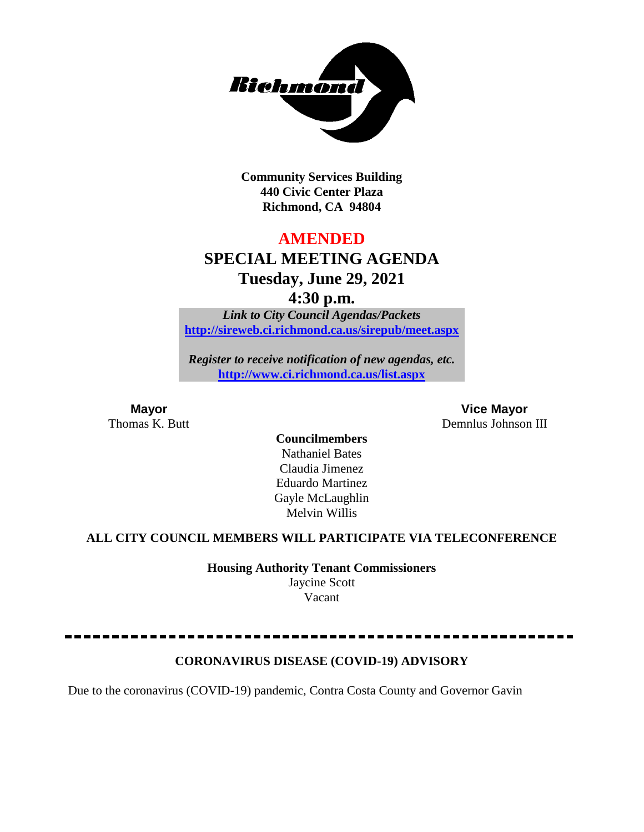

**Community Services Building 440 Civic Center Plaza Richmond, CA 94804**

## **AMENDED**

## **SPECIAL MEETING AGENDA Tuesday, June 29, 2021**

**4:30 p.m.**

*Link to City Council Agendas/Packets* **<http://sireweb.ci.richmond.ca.us/sirepub/meet.aspx>**

*Register to receive notification of new agendas, etc.* **<http://www.ci.richmond.ca.us/list.aspx>**

**Mayor Vice Mayor** Thomas K. Butt Demnlus Johnson III

> **Councilmembers** Nathaniel Bates Claudia Jimenez Eduardo Martinez Gayle McLaughlin Melvin Willis

## **ALL CITY COUNCIL MEMBERS WILL PARTICIPATE VIA TELECONFERENCE**

**Housing Authority Tenant Commissioners** Jaycine Scott

Vacant

**CORONAVIRUS DISEASE (COVID-19) ADVISORY**

Due to the coronavirus (COVID-19) pandemic, Contra Costa County and Governor Gavin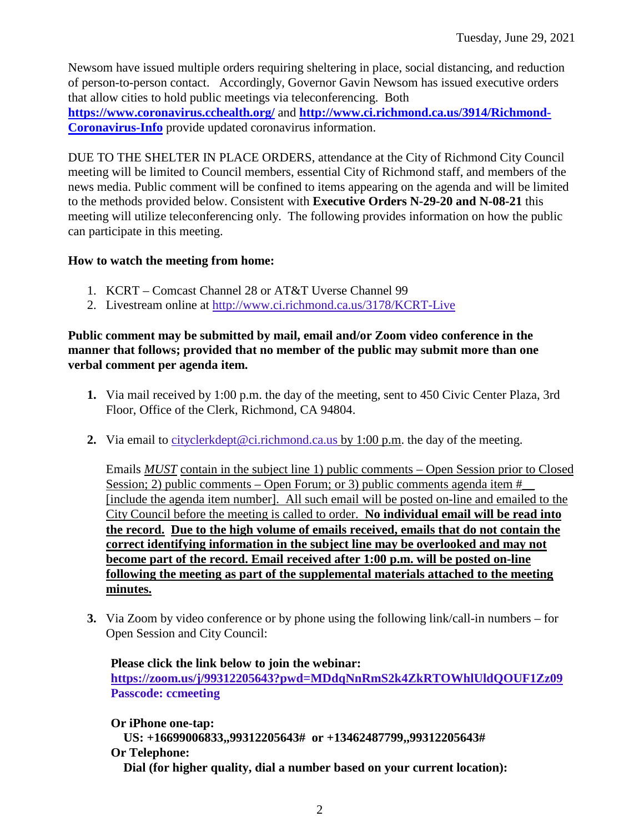Newsom have issued multiple orders requiring sheltering in place, social distancing, and reduction of person-to-person contact. Accordingly, Governor Gavin Newsom has issued executive orders that allow cities to hold public meetings via teleconferencing. Both **<https://www.coronavirus.cchealth.org/>** and **[http://www.ci.richmond.ca.us/3914/Richmond-](http://www.ci.richmond.ca.us/3914/Richmond-Coronavirus-Info)[Coronavirus-Info](http://www.ci.richmond.ca.us/3914/Richmond-Coronavirus-Info)** provide updated coronavirus information.

DUE TO THE SHELTER IN PLACE ORDERS, attendance at the City of Richmond City Council meeting will be limited to Council members, essential City of Richmond staff, and members of the news media. Public comment will be confined to items appearing on the agenda and will be limited to the methods provided below. Consistent with **Executive Orders N-29-20 and N-08-21** this meeting will utilize teleconferencing only. The following provides information on how the public can participate in this meeting.

#### **How to watch the meeting from home:**

- 1. KCRT Comcast Channel 28 or AT&T Uverse Channel 99
- 2. Livestream online at<http://www.ci.richmond.ca.us/3178/KCRT-Live>

#### **Public comment may be submitted by mail, email and/or Zoom video conference in the manner that follows; provided that no member of the public may submit more than one verbal comment per agenda item.**

- **1.** Via mail received by 1:00 p.m. the day of the meeting, sent to 450 Civic Center Plaza, 3rd Floor, Office of the Clerk, Richmond, CA 94804.
- **2.** Via email to [cityclerkdept@ci.richmond.ca.us](mailto:cityclerkdept@ci.richmond.ca.us) by 1:00 p.m. the day of the meeting.

Emails *MUST* contain in the subject line 1) public comments – Open Session prior to Closed Session; 2) public comments – Open Forum; or 3) public comments agenda item  $#$ [include the agenda item number]. All such email will be posted on-line and emailed to the City Council before the meeting is called to order. **No individual email will be read into the record. Due to the high volume of emails received, emails that do not contain the correct identifying information in the subject line may be overlooked and may not become part of the record. Email received after 1:00 p.m. will be posted on-line following the meeting as part of the supplemental materials attached to the meeting minutes.**

**3.** Via Zoom by video conference or by phone using the following link/call-in numbers – for Open Session and City Council:

**Please click the link below to join the webinar: <https://zoom.us/j/99312205643?pwd=MDdqNnRmS2k4ZkRTOWhlUldQOUF1Zz09> Passcode: ccmeeting**

**Or iPhone one-tap: US: +16699006833,,99312205643# or +13462487799,,99312205643# Or Telephone: Dial (for higher quality, dial a number based on your current location):**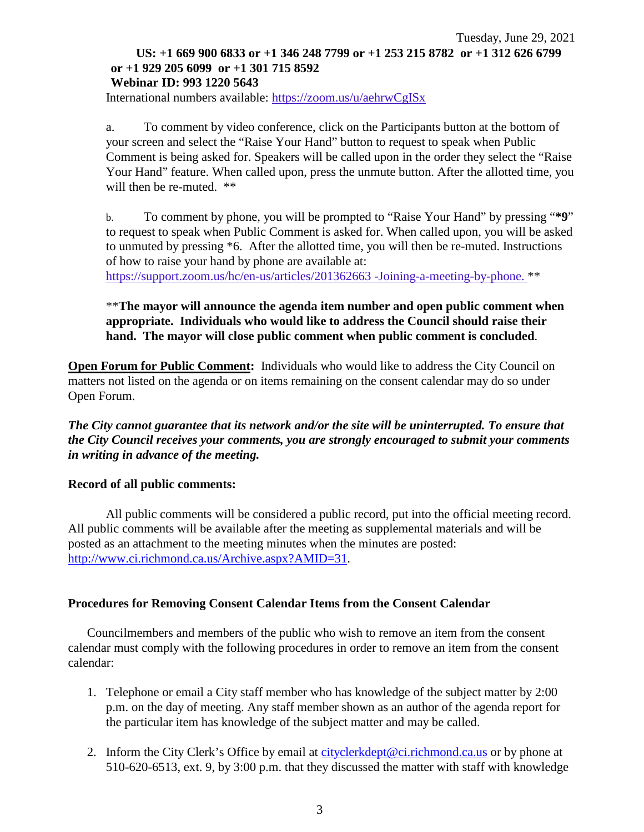#### Tuesday, June 29, 2021 **US: +1 669 900 6833 or +1 346 248 7799 or +1 253 215 8782 or +1 312 626 6799 or +1 929 205 6099 or +1 301 715 8592 Webinar ID: 993 1220 5643**

International numbers available: <https://zoom.us/u/aehrwCgISx>

a. To comment by video conference, click on the Participants button at the bottom of your screen and select the "Raise Your Hand" button to request to speak when Public Comment is being asked for. Speakers will be called upon in the order they select the "Raise Your Hand" feature. When called upon, press the unmute button. After the allotted time, you will then be re-muted.  $**$ 

b. To comment by phone, you will be prompted to "Raise Your Hand" by pressing "**\*9**" to request to speak when Public Comment is asked for. When called upon, you will be asked to unmuted by pressing \*6. After the allotted time, you will then be re-muted. Instructions of how to raise your hand by phone are available at:

[https://support.zoom.us/hc/en-us/articles/201362663 -Joining-a-meeting-by-phone.](https://support.zoom.us/hc/en-us/articles/201362663) \*\*

#### \*\***The mayor will announce the agenda item number and open public comment when appropriate. Individuals who would like to address the Council should raise their hand. The mayor will close public comment when public comment is concluded**.

**Open Forum for Public Comment:** Individuals who would like to address the City Council on matters not listed on the agenda or on items remaining on the consent calendar may do so under Open Forum.

*The City cannot guarantee that its network and/or the site will be uninterrupted. To ensure that the City Council receives your comments, you are strongly encouraged to submit your comments in writing in advance of the meeting.* 

#### **Record of all public comments:**

All public comments will be considered a public record, put into the official meeting record. All public comments will be available after the meeting as supplemental materials and will be posted as an attachment to the meeting minutes when the minutes are posted: [http://www.ci.richmond.ca.us/Archive.aspx?AMID=31.](http://www.ci.richmond.ca.us/Archive.aspx?AMID=31)

#### **Procedures for Removing Consent Calendar Items from the Consent Calendar**

Councilmembers and members of the public who wish to remove an item from the consent calendar must comply with the following procedures in order to remove an item from the consent calendar:

- 1. Telephone or email a City staff member who has knowledge of the subject matter by 2:00 p.m. on the day of meeting. Any staff member shown as an author of the agenda report for the particular item has knowledge of the subject matter and may be called.
- 2. Inform the City Clerk's Office by email at [cityclerkdept@ci.richmond.ca.us](mailto:cityclerkdept@ci.richmond.ca.us) or by phone at 510-620-6513, ext. 9, by 3:00 p.m. that they discussed the matter with staff with knowledge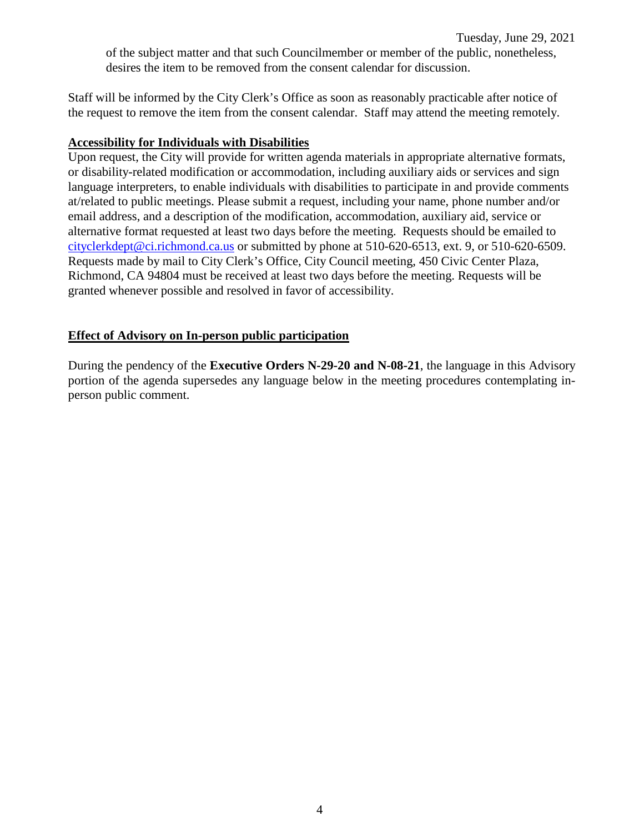Staff will be informed by the City Clerk's Office as soon as reasonably practicable after notice of the request to remove the item from the consent calendar. Staff may attend the meeting remotely.

#### **Accessibility for Individuals with Disabilities**

Upon request, the City will provide for written agenda materials in appropriate alternative formats, or disability-related modification or accommodation, including auxiliary aids or services and sign language interpreters, to enable individuals with disabilities to participate in and provide comments at/related to public meetings. Please submit a request, including your name, phone number and/or email address, and a description of the modification, accommodation, auxiliary aid, service or alternative format requested at least two days before the meeting. Requests should be emailed to [cityclerkdept@ci.richmond.ca.us](mailto:cityclerkdept@ci.richmond.ca.us) or submitted by phone at 510-620-6513, ext. 9, or 510-620-6509. Requests made by mail to City Clerk's Office, City Council meeting, 450 Civic Center Plaza, Richmond, CA 94804 must be received at least two days before the meeting. Requests will be granted whenever possible and resolved in favor of accessibility.

### **Effect of Advisory on In-person public participation**

During the pendency of the **Executive Orders N-29-20 and N-08-21**, the language in this Advisory portion of the agenda supersedes any language below in the meeting procedures contemplating inperson public comment.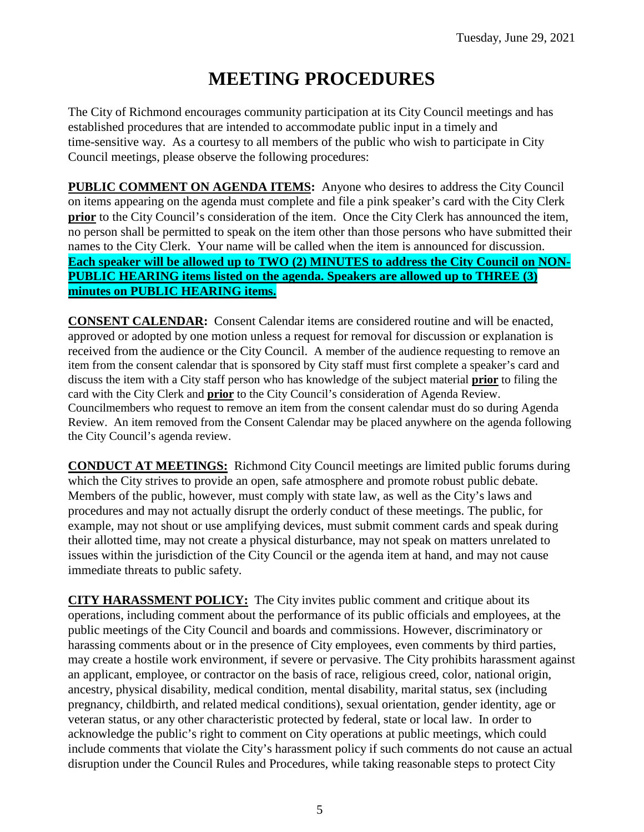# **MEETING PROCEDURES**

The City of Richmond encourages community participation at its City Council meetings and has established procedures that are intended to accommodate public input in a timely and time-sensitive way. As a courtesy to all members of the public who wish to participate in City Council meetings, please observe the following procedures:

**PUBLIC COMMENT ON AGENDA ITEMS:** Anyone who desires to address the City Council on items appearing on the agenda must complete and file a pink speaker's card with the City Clerk **prior** to the City Council's consideration of the item. Once the City Clerk has announced the item, no person shall be permitted to speak on the item other than those persons who have submitted their names to the City Clerk. Your name will be called when the item is announced for discussion. **Each speaker will be allowed up to TWO (2) MINUTES to address the City Council on NON-PUBLIC HEARING items listed on the agenda. Speakers are allowed up to THREE (3) minutes on PUBLIC HEARING items.**

**CONSENT CALENDAR:** Consent Calendar items are considered routine and will be enacted, approved or adopted by one motion unless a request for removal for discussion or explanation is received from the audience or the City Council. A member of the audience requesting to remove an item from the consent calendar that is sponsored by City staff must first complete a speaker's card and discuss the item with a City staff person who has knowledge of the subject material **prior** to filing the card with the City Clerk and **prior** to the City Council's consideration of Agenda Review. Councilmembers who request to remove an item from the consent calendar must do so during Agenda Review. An item removed from the Consent Calendar may be placed anywhere on the agenda following the City Council's agenda review.

**CONDUCT AT MEETINGS:** Richmond City Council meetings are limited public forums during which the City strives to provide an open, safe atmosphere and promote robust public debate. Members of the public, however, must comply with state law, as well as the City's laws and procedures and may not actually disrupt the orderly conduct of these meetings. The public, for example, may not shout or use amplifying devices, must submit comment cards and speak during their allotted time, may not create a physical disturbance, may not speak on matters unrelated to issues within the jurisdiction of the City Council or the agenda item at hand, and may not cause immediate threats to public safety.

**CITY HARASSMENT POLICY:** The City invites public comment and critique about its operations, including comment about the performance of its public officials and employees, at the public meetings of the City Council and boards and commissions. However, discriminatory or harassing comments about or in the presence of City employees, even comments by third parties, may create a hostile work environment, if severe or pervasive. The City prohibits harassment against an applicant, employee, or contractor on the basis of race, religious creed, color, national origin, ancestry, physical disability, medical condition, mental disability, marital status, sex (including pregnancy, childbirth, and related medical conditions), sexual orientation, gender identity, age or veteran status, or any other characteristic protected by federal, state or local law. In order to acknowledge the public's right to comment on City operations at public meetings, which could include comments that violate the City's harassment policy if such comments do not cause an actual disruption under the Council Rules and Procedures, while taking reasonable steps to protect City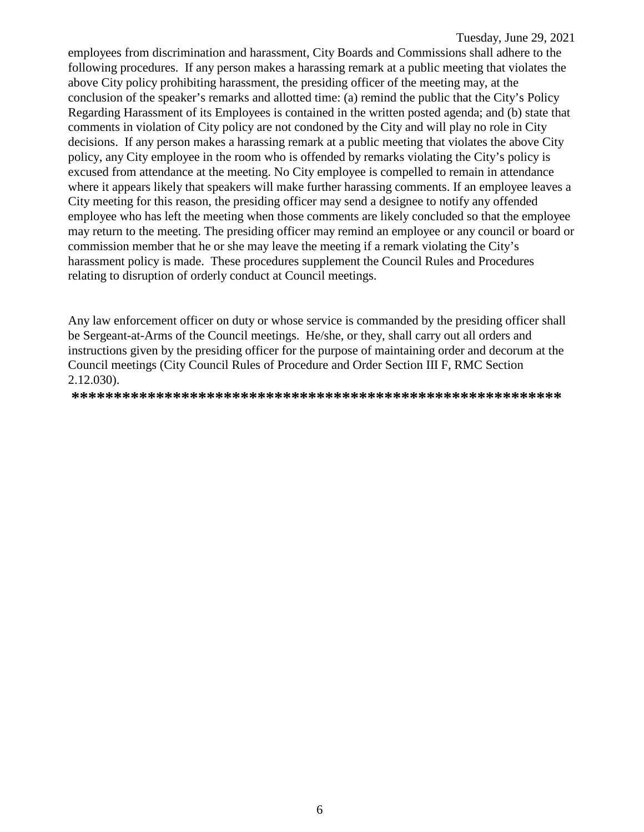employees from discrimination and harassment, City Boards and Commissions shall adhere to the following procedures. If any person makes a harassing remark at a public meeting that violates the above City policy prohibiting harassment, the presiding officer of the meeting may, at the conclusion of the speaker's remarks and allotted time: (a) remind the public that the City's Policy Regarding Harassment of its Employees is contained in the written posted agenda; and (b) state that comments in violation of City policy are not condoned by the City and will play no role in City decisions. If any person makes a harassing remark at a public meeting that violates the above City policy, any City employee in the room who is offended by remarks violating the City's policy is excused from attendance at the meeting. No City employee is compelled to remain in attendance where it appears likely that speakers will make further harassing comments. If an employee leaves a City meeting for this reason, the presiding officer may send a designee to notify any offended employee who has left the meeting when those comments are likely concluded so that the employee may return to the meeting. The presiding officer may remind an employee or any council or board or commission member that he or she may leave the meeting if a remark violating the City's harassment policy is made. These procedures supplement the Council Rules and Procedures relating to disruption of orderly conduct at Council meetings.

Any law enforcement officer on duty or whose service is commanded by the presiding officer shall be Sergeant-at-Arms of the Council meetings. He/she, or they, shall carry out all orders and instructions given by the presiding officer for the purpose of maintaining order and decorum at the Council meetings (City Council Rules of Procedure and Order Section III F, RMC Section 2.12.030).

**\*\*\*\*\*\*\*\*\*\*\*\*\*\*\*\*\*\*\*\*\*\*\*\*\*\*\*\*\*\*\*\*\*\*\*\*\*\*\*\*\*\*\*\*\*\*\*\*\*\*\*\*\*\*\*\*\*\***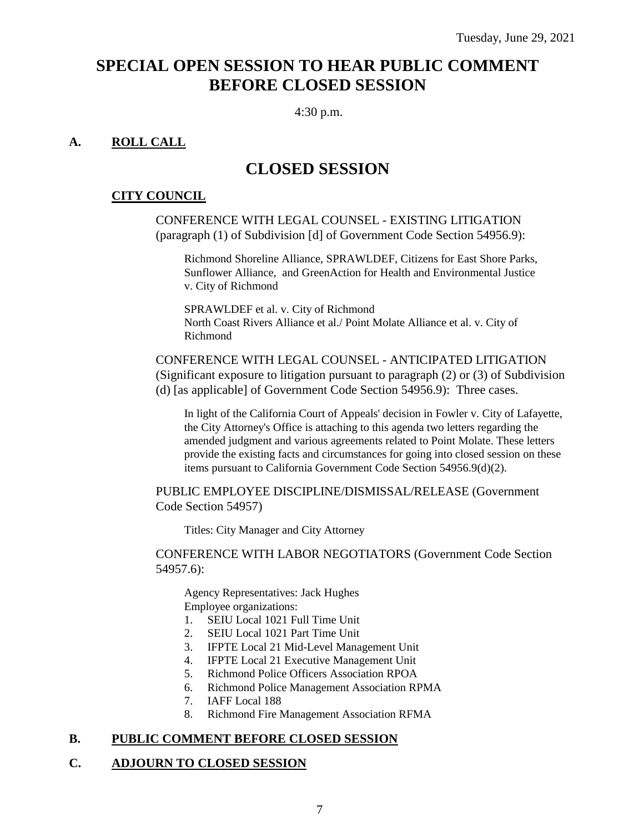## **SPECIAL OPEN SESSION TO HEAR PUBLIC COMMENT BEFORE CLOSED SESSION**

4:30 p.m.

## **A. ROLL CALL**

## **CLOSED SESSION**

#### **CITY COUNCIL**

CONFERENCE WITH LEGAL COUNSEL - EXISTING LITIGATION (paragraph (1) of Subdivision [d] of Government Code Section 54956.9):

Richmond Shoreline Alliance, SPRAWLDEF, Citizens for East Shore Parks, Sunflower Alliance, and GreenAction for Health and Environmental Justice v. City of Richmond

SPRAWLDEF et al. v. City of Richmond North Coast Rivers Alliance et al./ Point Molate Alliance et al. v. City of Richmond

CONFERENCE WITH LEGAL COUNSEL - ANTICIPATED LITIGATION (Significant exposure to litigation pursuant to paragraph (2) or (3) of Subdivision (d) [as applicable] of Government Code Section 54956.9): Three cases.

In light of the California Court of Appeals' decision in Fowler v. City of Lafayette, the City Attorney's Office is attaching to this agenda two letters regarding the amended judgment and various agreements related to Point Molate. These letters provide the existing facts and circumstances for going into closed session on these items pursuant to California Government Code Section 54956.9(d)(2).

PUBLIC EMPLOYEE DISCIPLINE/DISMISSAL/RELEASE (Government Code Section 54957)

Titles: City Manager and City Attorney

CONFERENCE WITH LABOR NEGOTIATORS (Government Code Section 54957.6):

Agency Representatives: Jack Hughes Employee organizations:

1. SEIU Local 1021 Full Time Unit

- 2. SEIU Local 1021 Part Time Unit
- 3. IFPTE Local 21 Mid-Level Management Unit
- 4. IFPTE Local 21 Executive Management Unit
- 5. Richmond Police Officers Association RPOA
- 6. Richmond Police Management Association RPMA
- 7. IAFF Local 188
- 8. Richmond Fire Management Association RFMA

#### **B. PUBLIC COMMENT BEFORE CLOSED SESSION**

## **C. ADJOURN TO CLOSED SESSION**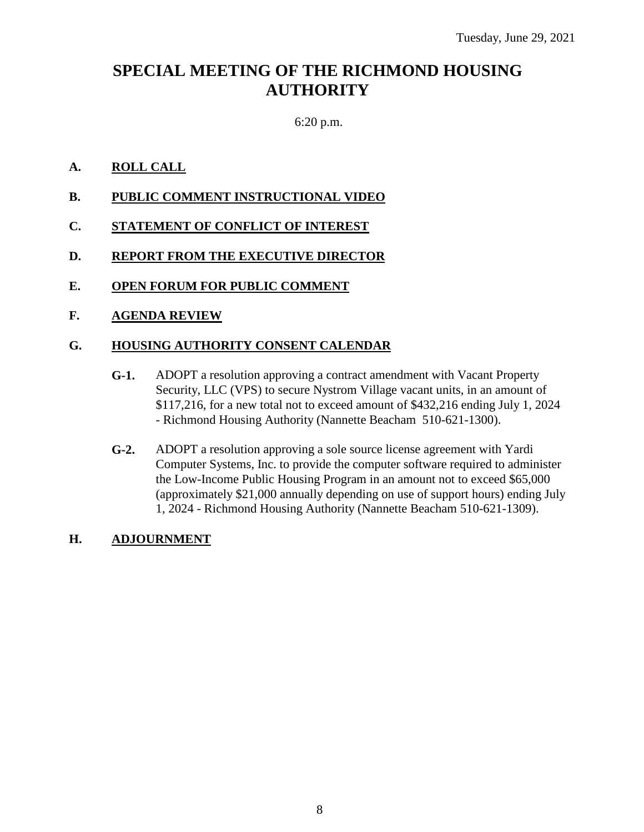## **SPECIAL MEETING OF THE RICHMOND HOUSING AUTHORITY**

## 6:20 p.m.

### **A. ROLL CALL**

- **B. PUBLIC COMMENT INSTRUCTIONAL VIDEO**
- **C. STATEMENT OF CONFLICT OF INTEREST**
- **D. REPORT FROM THE EXECUTIVE DIRECTOR**
- **E. OPEN FORUM FOR PUBLIC COMMENT**
- **F. AGENDA REVIEW**

### **G. HOUSING AUTHORITY CONSENT CALENDAR**

- **G-1.** ADOPT a resolution approving a contract amendment with Vacant Property Security, LLC (VPS) to secure Nystrom Village vacant units, in an amount of \$117,216, for a new total not to exceed amount of \$432,216 ending July 1, 2024 - Richmond Housing Authority (Nannette Beacham 510-621-1300).
- **G-2.** ADOPT a resolution approving a sole source license agreement with Yardi Computer Systems, Inc. to provide the computer software required to administer the Low-Income Public Housing Program in an amount not to exceed \$65,000 (approximately \$21,000 annually depending on use of support hours) ending July 1, 2024 - Richmond Housing Authority (Nannette Beacham 510-621-1309).

#### **H. ADJOURNMENT**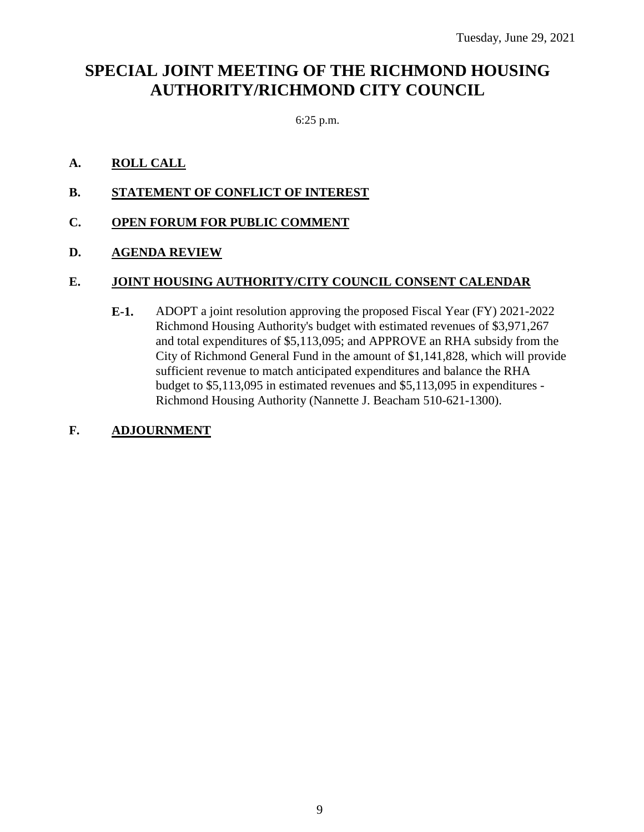## **SPECIAL JOINT MEETING OF THE RICHMOND HOUSING AUTHORITY/RICHMOND CITY COUNCIL**

6:25 p.m.

### **A. ROLL CALL**

- **B. STATEMENT OF CONFLICT OF INTEREST**
- **C. OPEN FORUM FOR PUBLIC COMMENT**

### **D. AGENDA REVIEW**

### **E. JOINT HOUSING AUTHORITY/CITY COUNCIL CONSENT CALENDAR**

**E-1.** ADOPT a joint resolution approving the proposed Fiscal Year (FY) 2021-2022 Richmond Housing Authority's budget with estimated revenues of \$3,971,267 and total expenditures of \$5,113,095; and APPROVE an RHA subsidy from the City of Richmond General Fund in the amount of \$1,141,828, which will provide sufficient revenue to match anticipated expenditures and balance the RHA budget to \$5,113,095 in estimated revenues and \$5,113,095 in expenditures - Richmond Housing Authority (Nannette J. Beacham 510-621-1300).

#### **F. ADJOURNMENT**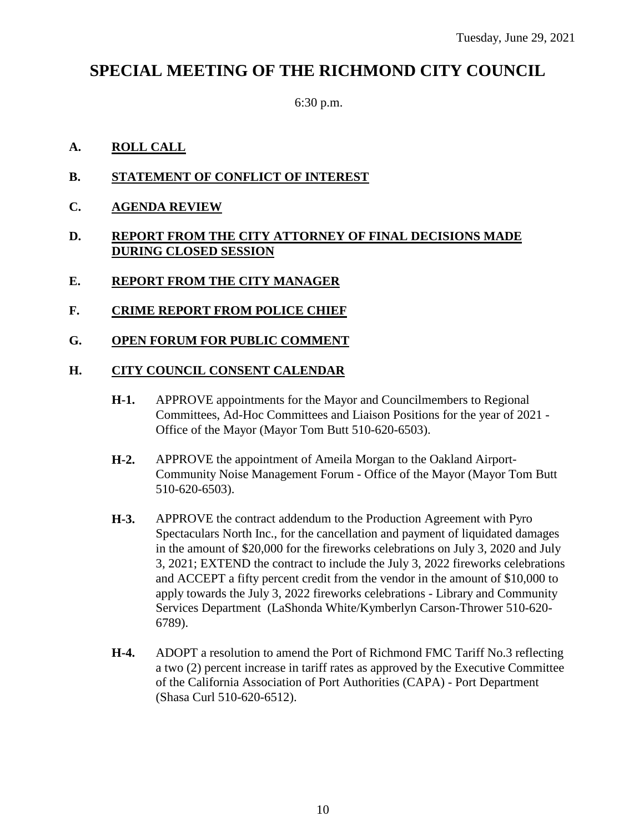## **SPECIAL MEETING OF THE RICHMOND CITY COUNCIL**

6:30 p.m.

## **A. ROLL CALL**

- **B. STATEMENT OF CONFLICT OF INTEREST**
- **C. AGENDA REVIEW**

#### **D. REPORT FROM THE CITY ATTORNEY OF FINAL DECISIONS MADE DURING CLOSED SESSION**

- **E. REPORT FROM THE CITY MANAGER**
- **F. CRIME REPORT FROM POLICE CHIEF**
- **G. OPEN FORUM FOR PUBLIC COMMENT**

#### **H. CITY COUNCIL CONSENT CALENDAR**

- **H-1.** APPROVE appointments for the Mayor and Councilmembers to Regional Committees, Ad-Hoc Committees and Liaison Positions for the year of 2021 - Office of the Mayor (Mayor Tom Butt 510-620-6503).
- **H-2.** APPROVE the appointment of Ameila Morgan to the Oakland Airport-Community Noise Management Forum - Office of the Mayor (Mayor Tom Butt 510-620-6503).
- **H-3.** APPROVE the contract addendum to the Production Agreement with Pyro Spectaculars North Inc., for the cancellation and payment of liquidated damages in the amount of \$20,000 for the fireworks celebrations on July 3, 2020 and July 3, 2021; EXTEND the contract to include the July 3, 2022 fireworks celebrations and ACCEPT a fifty percent credit from the vendor in the amount of \$10,000 to apply towards the July 3, 2022 fireworks celebrations - Library and Community Services Department (LaShonda White/Kymberlyn Carson-Thrower 510-620- 6789).
- **H-4.** ADOPT a resolution to amend the Port of Richmond FMC Tariff No.3 reflecting a two (2) percent increase in tariff rates as approved by the Executive Committee of the California Association of Port Authorities (CAPA) - Port Department (Shasa Curl 510-620-6512).